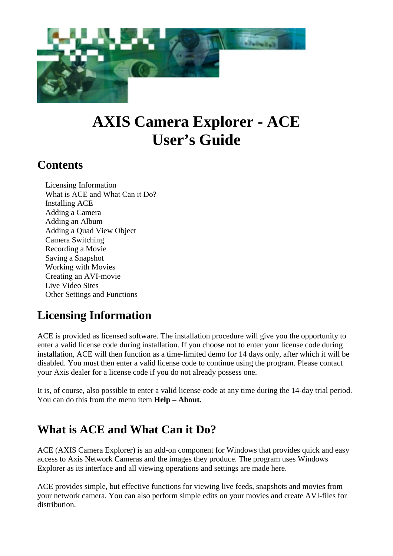

# **AXIS Camera Explorer - ACE User's Guide**

### **Contents**

Licensing Information What is ACE and What Can it Do? Installing ACE Adding a Camera Adding an Album Adding a Quad View Object Camera Switching Recording a Movie Saving a Snapshot Working with Movies Creating an AVI-movie Live Video Sites Other Settings and Functions

# **Licensing Information**

ACE is provided as licensed software. The installation procedure will give you the opportunity to enter a valid license code during installation. If you choose not to enter your license code during installation, ACE will then function as a time-limited demo for 14 days only, after which it will be disabled. You must then enter a valid license code to continue using the program. Please contact your Axis dealer for a license code if you do not already possess one.

It is, of course, also possible to enter a valid license code at any time during the 14-day trial period. You can do this from the menu item **Help – About.** 

### **What is ACE and What Can it Do?**

ACE (AXIS Camera Explorer) is an add-on component for Windows that provides quick and easy access to Axis Network Cameras and the images they produce. The program uses Windows Explorer as its interface and all viewing operations and settings are made here.

ACE provides simple, but effective functions for viewing live feeds, snapshots and movies from your network camera. You can also perform simple edits on your movies and create AVI-files for distribution.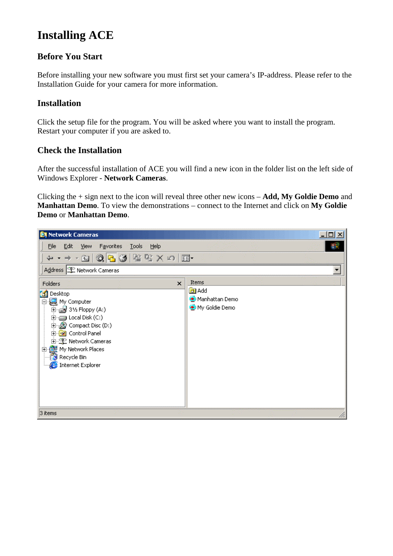### **Installing ACE**

#### **Before You Start**

Before installing your new software you must first set your camera's IP-address. Please refer to the Installation Guide for your camera for more information.

#### **Installation**

Click the setup file for the program. You will be asked where you want to install the program. Restart your computer if you are asked to.

#### **Check the Installation**

After the successful installation of ACE you will find a new icon in the folder list on the left side of Windows Explorer - **Network Cameras**.

Clicking the + sign next to the icon will reveal three other new icons – **Add, My Goldie Demo** and **Manhattan Demo**. To view the demonstrations – connect to the Internet and click on **My Goldie Demo** or **Manhattan Demo**.

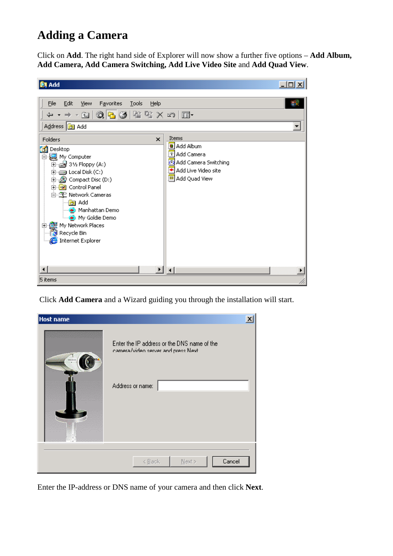### **Adding a Camera**

Click on **Add**. The right hand side of Explorer will now show a further five options – **Add Album, Add Camera, Add Camera Switching, Add Live Video Site** and **Add Quad View**.



Click **Add Camera** and a Wizard guiding you through the installation will start.

| <b>Host name</b> |                                                                                                        | $\overline{\mathsf{x}}$ |
|------------------|--------------------------------------------------------------------------------------------------------|-------------------------|
|                  | Enter the IP address or the DNS name of the<br>camera/video server and press Next.<br>Address or name: |                         |
|                  | Cancel<br>$<$ Back<br>$N$ ext >                                                                        |                         |

Enter the IP-address or DNS name of your camera and then click **Next**.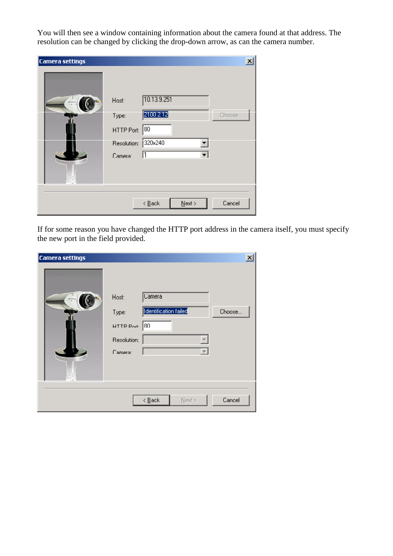You will then see a window containing information about the camera found at that address. The resolution can be changed by clicking the drop-down arrow, as can the camera number.

| <b>Camera settings</b> |                           |                                                  | $\overline{\mathbf{v}}$ |
|------------------------|---------------------------|--------------------------------------------------|-------------------------|
|                        | Host:<br>Type:            | 10.13.9.251<br>2100 2.12                         | Choose                  |
|                        | HTTP Port:<br>Resolution: | 180<br>1320x240                                  |                         |
|                        | Camera:                   | 11                                               |                         |
|                        |                           | $N$ ext ><br>$\leq$ $\underline{\mathsf{B}}$ ack | Cancel                  |

If for some reason you have changed the HTTP port address in the camera itself, you must specify the new port in the field provided.

| <b>Camera settings</b> |                                                        |                                                  | $\overline{\mathbf{x}}$ |
|------------------------|--------------------------------------------------------|--------------------------------------------------|-------------------------|
|                        | Host:<br>Type:<br>HTTP Port:<br>Resolution:<br>Camera: | <b>Camera</b><br>Identification failed<br>80     | Choose                  |
|                        |                                                        | $\leq$ $\underline{\mathsf{B}}$ ack<br>$N$ ext > | Cancel                  |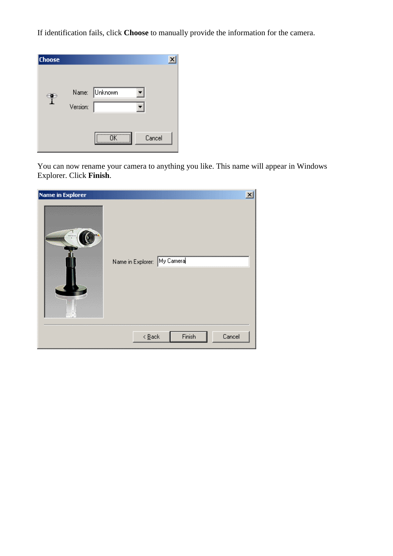If identification fails, click **Choose** to manually provide the information for the camera.



You can now rename your camera to anything you like. This name will appear in Windows Explorer. Click **Finish**.

| <b>Name in Explorer</b> | My Camera<br>Name in Explorer:                | $\vert x \vert$ |
|-------------------------|-----------------------------------------------|-----------------|
|                         | Finish<br>$\leq$ $\underline{\mathsf{B}}$ ack | Cancel          |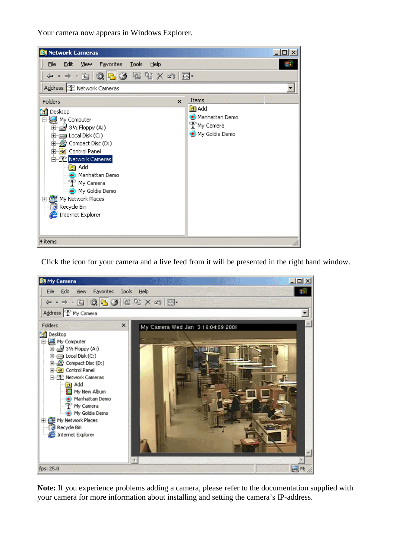Your camera now appears in Windows Explorer.



Click the icon for your camera and a live feed from it will be presented in the right hand window.



**Note:** If you experience problems adding a camera, please refer to the documentation supplied with your camera for more information about installing and setting the camera's IP-address.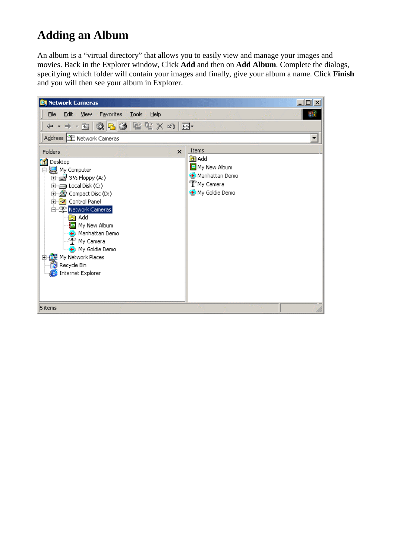# **Adding an Album**

An album is a "virtual directory" that allows you to easily view and manage your images and movies. Back in the Explorer window, Click **Add** and then on **Add Album**. Complete the dialogs, specifying which folder will contain your images and finally, give your album a name. Click **Finish** and you will then see your album in Explorer.

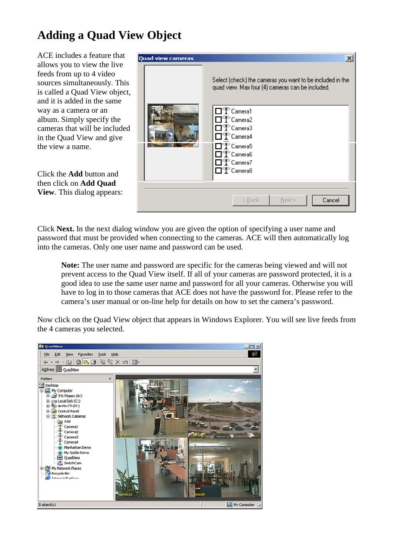# **Adding a Quad View Object**

ACE includes a feature that allows you to view the live feeds from up to 4 video sources simultaneously. This is called a Quad View object, and it is added in the same way as a camera or an album. Simply specify the cameras that will be included in the Quad View and give the view a name.

Click the **Add** button and then click on **Add Quad View**. This dialog appears:

| <b>Quad view cameras</b> | $\pmb{\times}$<br>Select (check) the cameras you want to be included in the<br>quad view. Max four (4) cameras can be included.                                                                                                   |
|--------------------------|-----------------------------------------------------------------------------------------------------------------------------------------------------------------------------------------------------------------------------------|
|                          | □ <sup>•</sup> Camera1<br>□ <sup>®</sup> Camera2<br>□ <sup>®</sup> Camera3<br>□ <sup>®</sup> Camera4<br>$\Box$ $\mathbb{C}^{\infty}$ Camera5<br>$\Box$ P $\degree$ Camera $6$<br>□ <sup>®</sup> Camera7<br>□ <sup>®</sup> Camera8 |
|                          | Cancel<br>< Back<br>Next >                                                                                                                                                                                                        |

Click **Next.** In the next dialog window you are given the option of specifying a user name and password that must be provided when connecting to the cameras. ACE will then automatically log into the cameras. Only one user name and password can be used.

**Note:** The user name and password are specific for the cameras being viewed and will not prevent access to the Quad View itself. If all of your cameras are password protected, it is a good idea to use the same user name and password for all your cameras. Otherwise you will have to log in to those cameras that ACE does not have the password for. Please refer to the camera's user manual or on-line help for details on how to set the camera's password.

Now click on the Quad View object that appears in Windows Explorer. You will see live feeds from the 4 cameras you selected.

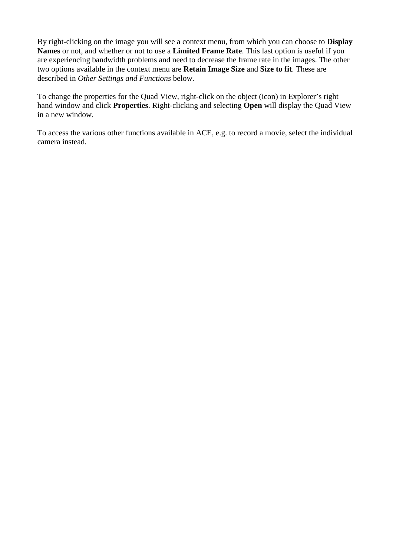By right-clicking on the image you will see a context menu, from which you can choose to **Display Names** or not, and whether or not to use a **Limited Frame Rate**. This last option is useful if you are experiencing bandwidth problems and need to decrease the frame rate in the images. The other two options available in the context menu are **Retain Image Size** and **Size to fit**. These are described in *[Other Settings and Functions](#page-13-0)* below.

To change the properties for the Quad View, right-click on the object (icon) in Explorer's right hand window and click **Properties**. Right-clicking and selecting **Open** will display the Quad View in a new window.

To access the various other functions available in ACE, e.g. to record a movie, select the individual camera instead.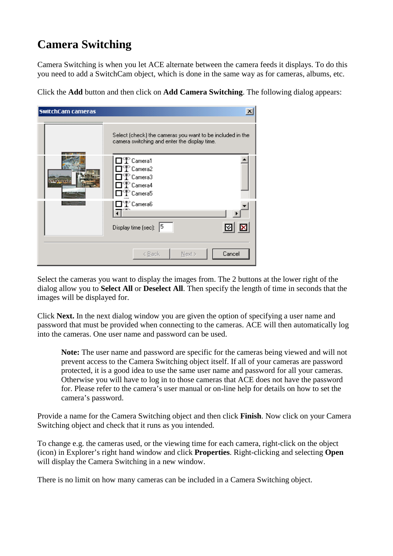# **Camera Switching**

Camera Switching is when you let ACE alternate between the camera feeds it displays. To do this you need to add a SwitchCam object, which is done in the same way as for cameras, albums, etc.

Click the **Add** button and then click on **Add Camera Switching**. The following dialog appears:

| SwitchCam cameras |                                                                                                                                                         | $\overline{\mathbf{X}}$ |
|-------------------|---------------------------------------------------------------------------------------------------------------------------------------------------------|-------------------------|
|                   | Select (check) the cameras you want to be included in the<br>camera switching and enter the display time.                                               |                         |
|                   | $\Box$ P $\Gamma$ Camera1<br>$\Box$ $\mathbb {P}$ Camera2<br>$\Box$ $\mathbb {P}$ Camera3<br>$\Box$ $\mathbb{P}$ Camera4<br>$\Box$ P $^{\circ}$ Camera5 |                         |
|                   | $\Box$ $\mathbb{T}$ Camera6                                                                                                                             |                         |
|                   | Display time (sec): 5                                                                                                                                   | ×                       |
|                   | < Back<br>$N$ ext >                                                                                                                                     | Cancel                  |

Select the cameras you want to display the images from. The 2 buttons at the lower right of the dialog allow you to **Select All** or **Deselect All**. Then specify the length of time in seconds that the images will be displayed for.

Click **Next.** In the next dialog window you are given the option of specifying a user name and password that must be provided when connecting to the cameras. ACE will then automatically log into the cameras. One user name and password can be used.

**Note:** The user name and password are specific for the cameras being viewed and will not prevent access to the Camera Switching object itself. If all of your cameras are password protected, it is a good idea to use the same user name and password for all your cameras. Otherwise you will have to log in to those cameras that ACE does not have the password for. Please refer to the camera's user manual or on-line help for details on how to set the camera's password.

Provide a name for the Camera Switching object and then click **Finish**. Now click on your Camera Switching object and check that it runs as you intended.

To change e.g. the cameras used, or the viewing time for each camera, right-click on the object (icon) in Explorer's right hand window and click **Properties**. Right-clicking and selecting **Open** will display the Camera Switching in a new window.

There is no limit on how many cameras can be included in a Camera Switching object.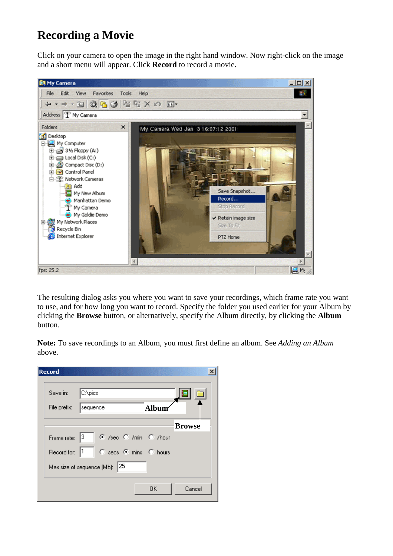### **Recording a Movie**

Click on your camera to open the image in the right hand window. Now right-click on the image and a short menu will appear. Click **Record** to record a movie.



The resulting dialog asks you where you want to save your recordings, which frame rate you want to use, and for how long you want to record. Specify the folder you used earlier for your Album by clicking the **Browse** button, or alternatively, specify the Album directly, by clicking the **Album** button.

**Note:** To save recordings to an Album, you must first define an album. See *Adding an Album* above.

| Save in:      | C:\pics                       |              |               |
|---------------|-------------------------------|--------------|---------------|
| File prefix:  | ∥sequence                     | <b>Album</b> |               |
|               |                               |              | <b>Browse</b> |
| Frame rate: 3 | C /sec C /min C /hour         |              |               |
| Record for: 1 | C secs C mins C hours         |              |               |
|               | Max size of sequence (Mb): 25 |              |               |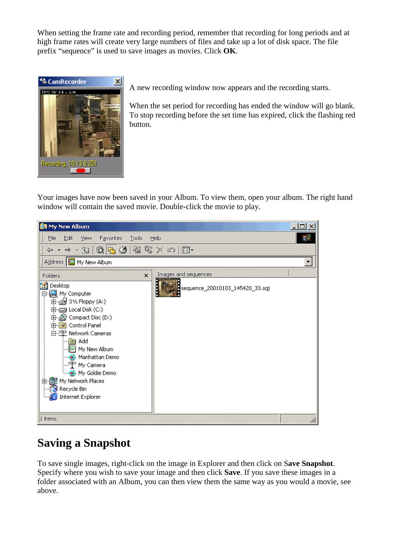When setting the frame rate and recording period, remember that recording for long periods and at high frame rates will create very large numbers of files and take up a lot of disk space. The file prefix "sequence" is used to save images as movies. Click **OK**.



A new recording window now appears and the recording starts.

When the set period for recording has ended the window will go blank. To stop recording before the set time has expired, click the flashing red button.

Your images have now been saved in your Album. To view them, open your album. The right hand window will contain the saved movie. Double-click the movie to play.



### **Saving a Snapshot**

To save single images, right-click on the image in Explorer and then click on S**ave Snapshot**. Specify where you wish to save your image and then click **Save**. If you save these images in a folder associated with an Album, you can then view them the same way as you would a movie, see above.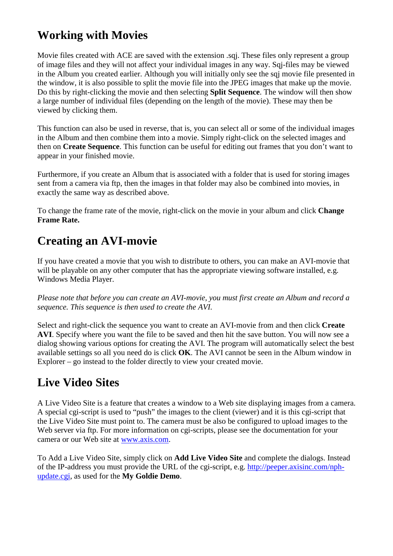# **Working with Movies**

Movie files created with ACE are saved with the extension .sqi. These files only represent a group of image files and they will not affect your individual images in any way. Sqj-files may be viewed in the Album you created earlier. Although you will initially only see the sqj movie file presented in the window, it is also possible to split the movie file into the JPEG images that make up the movie. Do this by right-clicking the movie and then selecting **Split Sequence**. The window will then show a large number of individual files (depending on the length of the movie). These may then be viewed by clicking them.

This function can also be used in reverse, that is, you can select all or some of the individual images in the Album and then combine them into a movie. Simply right-click on the selected images and then on **Create Sequence**. This function can be useful for editing out frames that you don't want to appear in your finished movie.

Furthermore, if you create an Album that is associated with a folder that is used for storing images sent from a camera via ftp, then the images in that folder may also be combined into movies, in exactly the same way as described above.

To change the frame rate of the movie, right-click on the movie in your album and click **Change Frame Rate.**

# **Creating an AVI-movie**

If you have created a movie that you wish to distribute to others, you can make an AVI-movie that will be playable on any other computer that has the appropriate viewing software installed, e.g. Windows Media Player.

*Please note that before you can create an AVI-movie, you must first create an Album and record a sequence. This sequence is then used to create the AVI.* 

Select and right-click the sequence you want to create an AVI-movie from and then click **Create AVI**. Specify where you want the file to be saved and then hit the save button. You will now see a dialog showing various options for creating the AVI. The program will automatically select the best available settings so all you need do is click **OK**. The AVI cannot be seen in the Album window in Explorer – go instead to the folder directly to view your created movie.

# **Live Video Sites**

A Live Video Site is a feature that creates a window to a Web site displaying images from a camera. A special cgi-script is used to "push" the images to the client (viewer) and it is this cgi-script that the Live Video Site must point to. The camera must be also be configured to upload images to the Web server via ftp. For more information on cgi-scripts, please see the documentation for your camera or our Web site at [www.axis.com.](http://www.axis.com/)

To Add a Live Video Site, simply click on **Add Live Video Site** and complete the dialogs. Instead of the IP-address you must provide the URL of the cgi-script, e.g. [http://peeper.axisinc.com/nph](http://peeper.axisinc.com/nph-update.cgi)[update.cgi,](http://peeper.axisinc.com/nph-update.cgi) as used for the **My Goldie Demo**.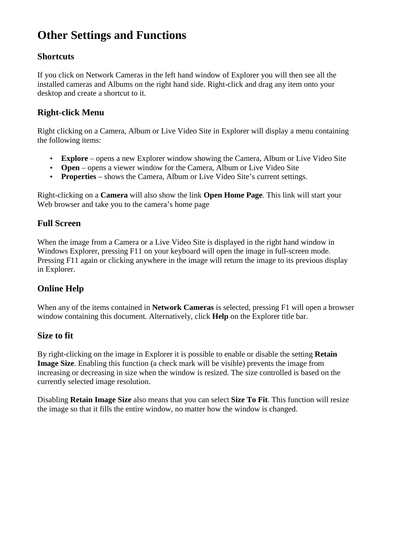# <span id="page-13-0"></span>**Other Settings and Functions**

#### **Shortcuts**

If you click on Network Cameras in the left hand window of Explorer you will then see all the installed cameras and Albums on the right hand side. Right-click and drag any item onto your desktop and create a shortcut to it.

### **Right-click Menu**

Right clicking on a Camera, Album or Live Video Site in Explorer will display a menu containing the following items:

- **Explore** opens a new Explorer window showing the Camera, Album or Live Video Site
- **Open** opens a viewer window for the Camera, Album or Live Video Site
- **Properties** shows the Camera, Album or Live Video Site's current settings.

Right-clicking on a **Camera** will also show the link **Open Home Page**. This link will start your Web browser and take you to the camera's home page

### **Full Screen**

When the image from a Camera or a Live Video Site is displayed in the right hand window in Windows Explorer, pressing F11 on your keyboard will open the image in full-screen mode. Pressing F11 again or clicking anywhere in the image will return the image to its previous display in Explorer.

### **Online Help**

When any of the items contained in **Network Cameras** is selected, pressing F1 will open a browser window containing this document. Alternatively, click **Help** on the Explorer title bar.

#### **Size to fit**

By right-clicking on the image in Explorer it is possible to enable or disable the setting **Retain Image Size**. Enabling this function (a check mark will be visible) prevents the image from increasing or decreasing in size when the window is resized. The size controlled is based on the currently selected image resolution.

Disabling **Retain Image Size** also means that you can select **Size To Fit**. This function will resize the image so that it fills the entire window, no matter how the window is changed.